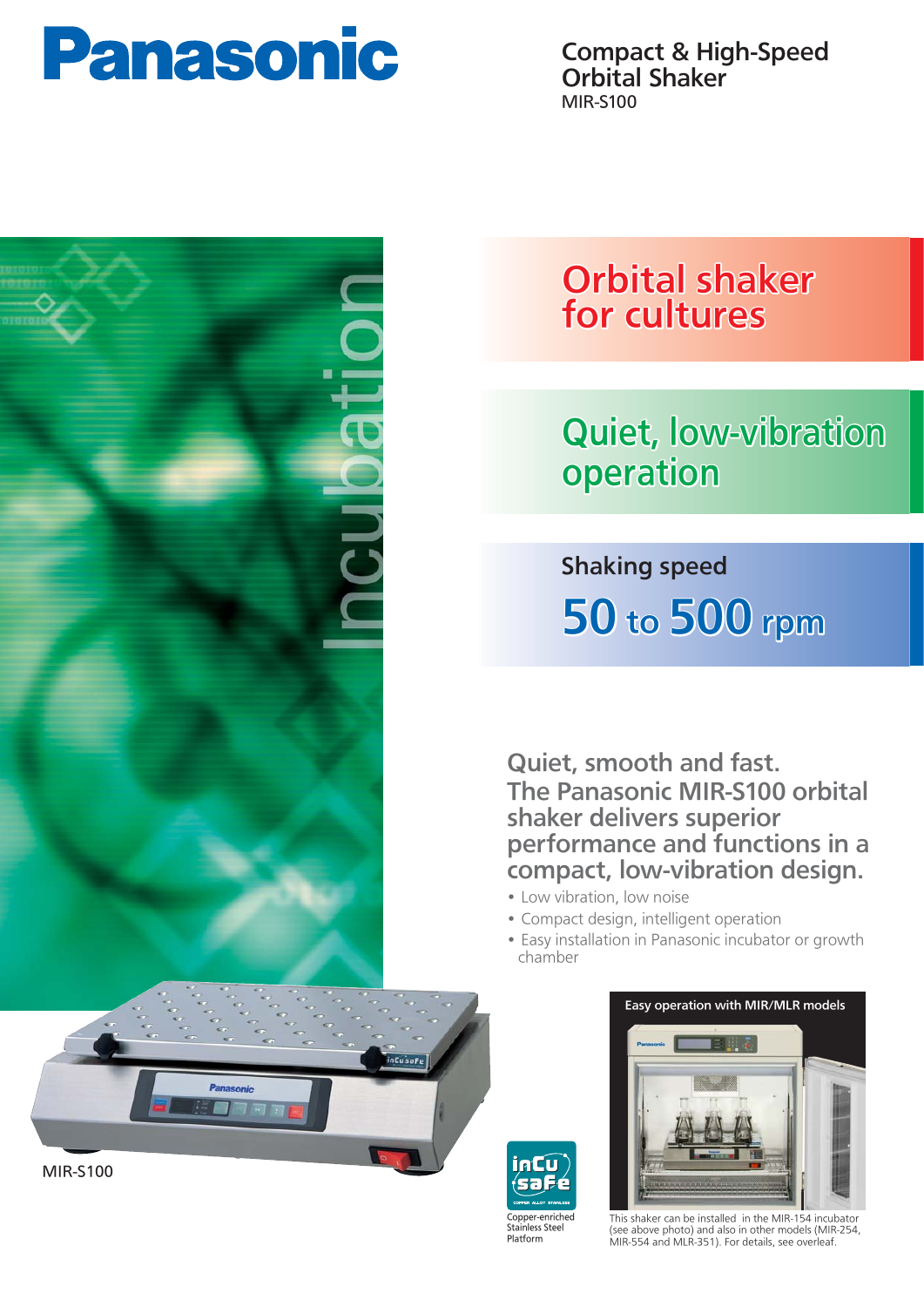

Compact & High-Speed Orbital Shaker MIR-S100





# Orbital shaker for cultures

# Quiet, low-vibration operation

Shaking speed 50 to 500 rpm

Quiet, smooth and fast. The Panasonic MIR-S100 orbital shaker delivers superior performance and functions in a compact, low-vibration design.

- Low vibration, low noise
- Compact design, intelligent operation
- Easy installation in Panasonic incubator or growth chamber





This shaker can be installed in the MIR-154 incubator (see above photo) and also in other models (MIR-254, MIR-554 and MLR-351). For details, see overleaf.